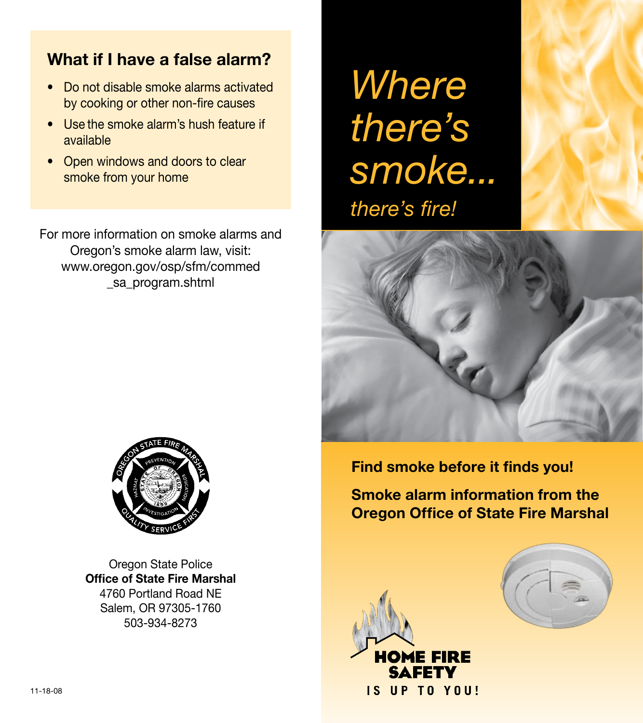### **What if I have a false alarm?**

- Do not disable smoke alarms activated by cooking or other non-fire causes
- Use the smoke alarm's hush feature if available
- Open windows and doors to clear smoke from your home

For more information on smoke alarms and Oregon's smoke alarm law, visit: www.oregon.gov/osp/sfm/commed sa program.shtml

*Where there's smoke... there's fire!*





Oregon State Police **Office of State Fire Marshal** 4760 Portland Road NE Salem, OR 97305-1760 503-934-8273

**Find smoke before it finds you!**

**Smoke alarm information from the Oregon Office of State Fire Marshal**